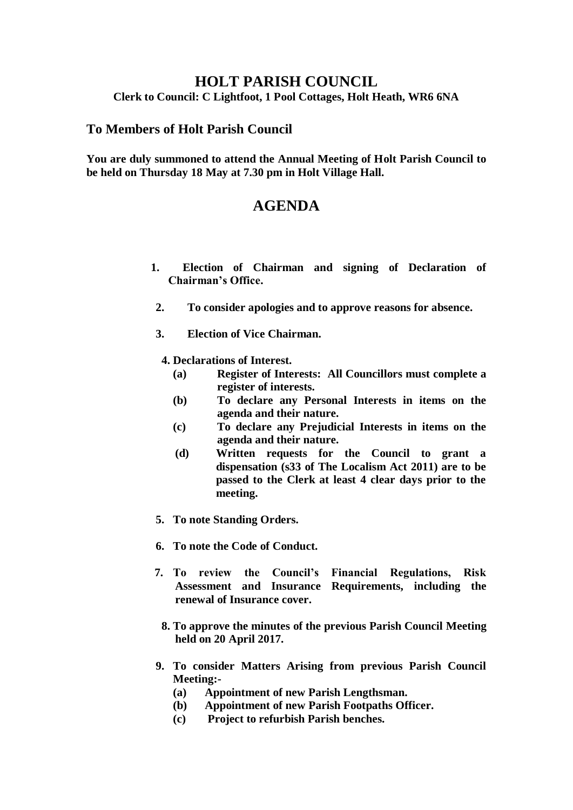## **HOLT PARISH COUNCIL**

**Clerk to Council: C Lightfoot, 1 Pool Cottages, Holt Heath, WR6 6NA**

## **To Members of Holt Parish Council**

**You are duly summoned to attend the Annual Meeting of Holt Parish Council to be held on Thursday 18 May at 7.30 pm in Holt Village Hall.**

## **AGENDA**

- **1. Election of Chairman and signing of Declaration of Chairman's Office.**
- **2. To consider apologies and to approve reasons for absence.**
- **3. Election of Vice Chairman.**
	- **4. Declarations of Interest.**
		- **(a) Register of Interests: All Councillors must complete a register of interests.**
		- **(b) To declare any Personal Interests in items on the agenda and their nature.**
		- **(c) To declare any Prejudicial Interests in items on the agenda and their nature.**
		- **(d) Written requests for the Council to grant a dispensation (s33 of The Localism Act 2011) are to be passed to the Clerk at least 4 clear days prior to the meeting.**
- **5. To note Standing Orders.**
- **6. To note the Code of Conduct.**
- **7. To review the Council's Financial Regulations, Risk Assessment and Insurance Requirements, including the renewal of Insurance cover.**
	- **8. To approve the minutes of the previous Parish Council Meeting held on 20 April 2017.**
- **9. To consider Matters Arising from previous Parish Council Meeting:-**
	- **(a) Appointment of new Parish Lengthsman.**
	- **(b) Appointment of new Parish Footpaths Officer.**
	- **(c) Project to refurbish Parish benches.**